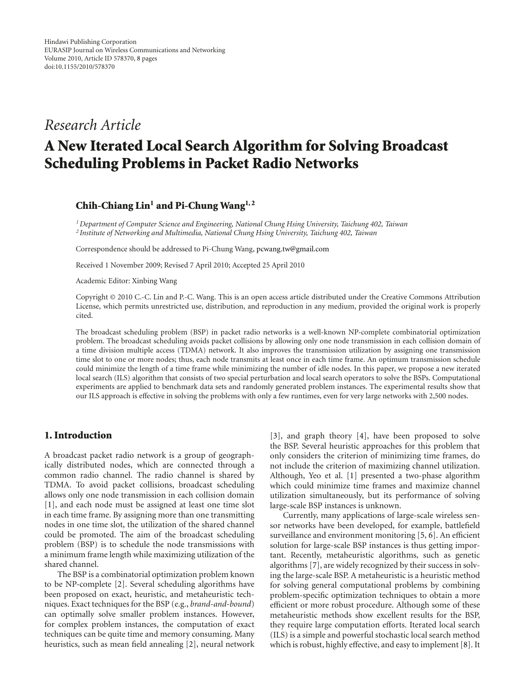## *Research Article*

# **A New Iterated Local Search Algorithm for Solving Broadcast Scheduling Problems in Packet Radio Networks**

#### **Chih-Chiang Lin1 and Pi-Chung Wang1, 2**

*1Department of Computer Science and Engineering, National Chung Hsing University, Taichung 402, Taiwan <sup>2</sup> Institute of Networking and Multimedia, National Chung Hsing University, Taichung 402, Taiwan*

Correspondence should be addressed to Pi-Chung Wang, pcwang.tw@gmail.com

Received 1 November 2009; Revised 7 April 2010; Accepted 25 April 2010

Academic Editor: Xinbing Wang

Copyright © 2010 C.-C. Lin and P.-C. Wang. This is an open access article distributed under the Creative Commons Attribution License, which permits unrestricted use, distribution, and reproduction in any medium, provided the original work is properly cited.

The broadcast scheduling problem (BSP) in packet radio networks is a well-known NP-complete combinatorial optimization problem. The broadcast scheduling avoids packet collisions by allowing only one node transmission in each collision domain of a time division multiple access (TDMA) network. It also improves the transmission utilization by assigning one transmission time slot to one or more nodes; thus, each node transmits at least once in each time frame. An optimum transmission schedule could minimize the length of a time frame while minimizing the number of idle nodes. In this paper, we propose a new iterated local search (ILS) algorithm that consists of two special perturbation and local search operators to solve the BSPs. Computational experiments are applied to benchmark data sets and randomly generated problem instances. The experimental results show that our ILS approach is effective in solving the problems with only a few runtimes, even for very large networks with 2,500 nodes.

#### **1. Introduction**

A broadcast packet radio network is a group of geographically distributed nodes, which are connected through a common radio channel. The radio channel is shared by TDMA. To avoid packet collisions, broadcast scheduling allows only one node transmission in each collision domain [1], and each node must be assigned at least one time slot in each time frame. By assigning more than one transmitting nodes in one time slot, the utilization of the shared channel could be promoted. The aim of the broadcast scheduling problem (BSP) is to schedule the node transmissions with a minimum frame length while maximizing utilization of the shared channel.

The BSP is a combinatorial optimization problem known to be NP-complete [2]. Several scheduling algorithms have been proposed on exact, heuristic, and metaheuristic techniques. Exact techniques for the BSP (e.g., *brand-and-bound*) can optimally solve smaller problem instances. However, for complex problem instances, the computation of exact techniques can be quite time and memory consuming. Many heuristics, such as mean field annealing [2], neural network

[3], and graph theory [4], have been proposed to solve the BSP. Several heuristic approaches for this problem that only considers the criterion of minimizing time frames, do not include the criterion of maximizing channel utilization. Although, Yeo et al. [1] presented a two-phase algorithm which could minimize time frames and maximize channel utilization simultaneously, but its performance of solving large-scale BSP instances is unknown.

Currently, many applications of large-scale wireless sensor networks have been developed, for example, battlefield surveillance and environment monitoring [5, 6]. An efficient solution for large-scale BSP instances is thus getting important. Recently, metaheuristic algorithms, such as genetic algorithms [7], are widely recognized by their success in solving the large-scale BSP. A metaheuristic is a heuristic method for solving general computational problems by combining problem-specific optimization techniques to obtain a more efficient or more robust procedure. Although some of these metaheuristic methods show excellent results for the BSP, they require large computation efforts. Iterated local search (ILS) is a simple and powerful stochastic local search method which is robust, highly effective, and easy to implement [8]. It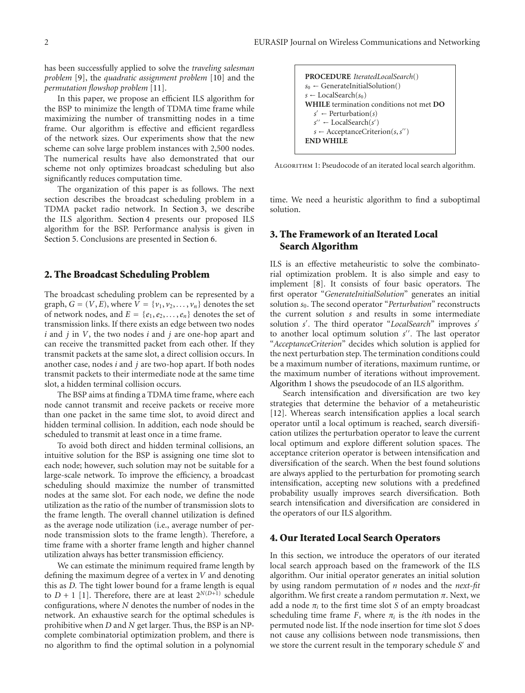has been successfully applied to solve the *traveling salesman problem* [9], the *quadratic assignment problem* [10] and the *permutation flowshop problem* [11].

In this paper, we propose an efficient ILS algorithm for the BSP to minimize the length of TDMA time frame while maximizing the number of transmitting nodes in a time frame. Our algorithm is effective and efficient regardless of the network sizes. Our experiments show that the new scheme can solve large problem instances with 2,500 nodes. The numerical results have also demonstrated that our scheme not only optimizes broadcast scheduling but also significantly reduces computation time.

The organization of this paper is as follows. The next section describes the broadcast scheduling problem in a TDMA packet radio network. In Section 3, we describe the ILS algorithm. Section 4 presents our proposed ILS algorithm for the BSP. Performance analysis is given in Section 5. Conclusions are presented in Section 6.

#### **2. The Broadcast Scheduling Problem**

The broadcast scheduling problem can be represented by a graph,  $G = (V, E)$ , where  $V = \{v_1, v_2, \dots, v_n\}$  denotes the set of network nodes, and  $E = \{e_1, e_2, \ldots, e_n\}$  denotes the set of transmission links. If there exists an edge between two nodes *i* and *j* in *V*, the two nodes *i* and *j* are one-hop apart and can receive the transmitted packet from each other. If they transmit packets at the same slot, a direct collision occurs. In another case, nodes *i* and *j* are two-hop apart. If both nodes transmit packets to their intermediate node at the same time slot, a hidden terminal collision occurs.

The BSP aims at finding a TDMA time frame, where each node cannot transmit and receive packets or receive more than one packet in the same time slot, to avoid direct and hidden terminal collision. In addition, each node should be scheduled to transmit at least once in a time frame.

To avoid both direct and hidden terminal collisions, an intuitive solution for the BSP is assigning one time slot to each node; however, such solution may not be suitable for a large-scale network. To improve the efficiency, a broadcast scheduling should maximize the number of transmitted nodes at the same slot. For each node, we define the node utilization as the ratio of the number of transmission slots to the frame length. The overall channel utilization is defined as the average node utilization (i.e., average number of pernode transmission slots to the frame length). Therefore, a time frame with a shorter frame length and higher channel utilization always has better transmission efficiency.

We can estimate the minimum required frame length by defining the maximum degree of a vertex in *V* and denoting this as *D.* The tight lower bound for a frame length is equal to  $D + 1$  [1]. Therefore, there are at least  $2^{N(D+1)}$  schedule configurations, where *N* denotes the number of nodes in the network. An exhaustive search for the optimal schedules is prohibitive when *D* and *N* get larger. Thus, the BSP is an NPcomplete combinatorial optimization problem, and there is no algorithm to find the optimal solution in a polynomial

**PROCEDURE** *IteratedLocalSearch*()  $s_0 \leftarrow$  GenerateInitialSolution()  $s \leftarrow$  LocalSearch( $s_0$ ) **WHILE** termination conditions not met **DO**  $s' \leftarrow$  Perturbation(*s*) *<sup>s</sup>* <sup>←</sup> LocalSearch(*s* ) *<sup>s</sup>* <sup>←</sup> AcceptanceCriterion(*s*,*s*) **END WHILE**

Algorithm 1: Pseudocode of an iterated local search algorithm.

time. We need a heuristic algorithm to find a suboptimal solution.

### **3. The Framework of an Iterated Local Search Algorithm**

ILS is an effective metaheuristic to solve the combinatorial optimization problem. It is also simple and easy to implement [8]. It consists of four basic operators. The first operator "*GenerateInitialSolution*" generates an initial solution *s*0. The second operator "*Perturbation*" reconstructs the current solution *s* and results in some intermediate solution *s .* The third operator "*LocalSearch*" improves *s* to another local optimum solution *s.* The last operator "*AcceptanceCriterion*" decides which solution is applied for the next perturbation step. The termination conditions could be a maximum number of iterations, maximum runtime, or the maximum number of iterations without improvement. Algorithm 1 shows the pseudocode of an ILS algorithm.

Search intensification and diversification are two key strategies that determine the behavior of a metaheuristic [12]. Whereas search intensification applies a local search operator until a local optimum is reached, search diversification utilizes the perturbation operator to leave the current local optimum and explore different solution spaces. The acceptance criterion operator is between intensification and diversification of the search. When the best found solutions are always applied to the perturbation for promoting search intensification, accepting new solutions with a predefined probability usually improves search diversification. Both search intensification and diversification are considered in the operators of our ILS algorithm.

#### **4. Our Iterated Local Search Operators**

In this section, we introduce the operators of our iterated local search approach based on the framework of the ILS algorithm. Our initial operator generates an initial solution by using random permutation of *n* nodes and the *next-fit* algorithm. We first create a random permutation *π*. Next, we add a node  $\pi$ <sub>i</sub> to the first time slot *S* of an empty broadcast scheduling time frame  $F$ , where  $\pi_i$  is the *i*th nodes in the permuted node list. If the node insertion for time slot *S* does not cause any collisions between node transmissions, then we store the current result in the temporary schedule *S'* and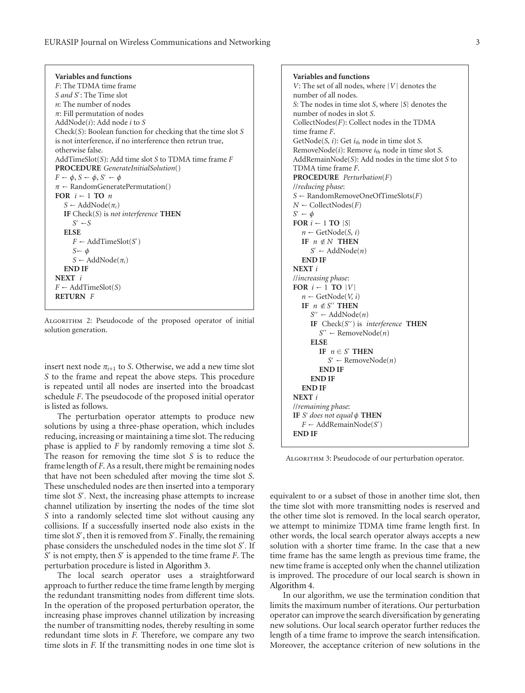**Variables and functions** *F*: The TDMA time frame *S and S* : The Time slot *n*: The number of nodes *π*: Fill permutation of nodes AddNode(*i*): Add node *i* to *S* Check(*S*): Boolean function for checking that the time slot *S* is not interference, if no interference then retrun true, otherwise false. AddTimeSlot(*S*): Add time slot *S* to TDMA time frame *F* **PROCEDURE** *GenerateInitialSolution*() *F* ←  $φ$ , *S* ←  $φ$ , *S'* ←  $φ$ *<sup>π</sup>* <sup>←</sup> RandomGeneratePermutation() **FOR** *<sup>i</sup>* <sup>←</sup> <sup>1</sup> **TO** *<sup>n</sup>*  $S \leftarrow AddNode(\pi_i)$ **IF** Check(*S*) is *not interference* **THEN**  $S' \leftarrow S$ **ELSE**  $F \leftarrow \text{AddTimeSlot}(S')$ *<sup>S</sup>*<sup>←</sup> *<sup>φ</sup>*  $S \leftarrow AddNode(\pi_i)$ **END IF NEXT** *i*  $F \leftarrow \text{AddTimeSlot}(S)$ **RETURN** *F*

ALGORITHM 2: Pseudocode of the proposed operator of initial solution generation.

insert next node  $\pi_{i+1}$  to *S*. Otherwise, we add a new time slot *S* to the frame and repeat the above steps. This procedure is repeated until all nodes are inserted into the broadcast schedule *F*. The pseudocode of the proposed initial operator is listed as follows.

The perturbation operator attempts to produce new solutions by using a three-phase operation, which includes reducing, increasing or maintaining a time slot. The reducing phase is applied to *F* by randomly removing a time slot *S*. The reason for removing the time slot *S* is to reduce the frame length of *F*. As a result, there might be remaining nodes that have not been scheduled after moving the time slot *S*. These unscheduled nodes are then inserted into a temporary time slot *S'*. Next, the increasing phase attempts to increase channel utilization by inserting the nodes of the time slot *S* into a randomly selected time slot without causing any collisions. If a successfully inserted node also exists in the time slot *S* , then it is removed from *S .* Finally, the remaining phase considers the unscheduled nodes in the time slot *S .* If *S* is not empty, then *S* is appended to the time frame *F*. The perturbation procedure is listed in Algorithm 3.

The local search operator uses a straightforward approach to further reduce the time frame length by merging the redundant transmitting nodes from different time slots. In the operation of the proposed perturbation operator, the increasing phase improves channel utilization by increasing the number of transmitting nodes, thereby resulting in some redundant time slots in *F.* Therefore, we compare any two time slots in *F.* If the transmitting nodes in one time slot is

```
Variables and functions
V: The set of all nodes, where |V| denotes the
number of all nodes.
S: The nodes in time slot S, where |S| denotes the
number of nodes in slot S.
CollectNodes(F): Collect nodes in the TDMA
time frame F.
GetNode(S, i): Get ith node in time slot S.
RemoveNode(i): Remove ith node in time slot S.
AddRemainNode(S): Add nodes in the time slot S to
TDMA time frame F.
PROCEDURE Perturbation(F)
//reducing phase:
S ← RandomRemoveOneOfTimeSlots(F)
N \leftarrow CollectNodes(F)
S' \leftarrow \phiFOR i - 1 TO |S|n \leftarrow GetNode(S, i)
  IF n \notin N THEN
     S' \leftarrow \text{AddNode}(n)END IF
NEXT i
//increasing phase:
FOR i \leftarrow 1 TO |V|n \leftarrow GetNode(V, i)
  IF n \notin S'' THEN
     S'' \leftarrow \text{AddNode}(n)IF Check(S) is interference THEN
        S ← RemoveNode(n)
     ELSE
        IF n \in S' THEN
           S' \leftarrow RemoveNode(n)
        END IF
     END IF
  END IF
NEXT i
//remaining phase:
IF S does not equal φ THEN
   F \leftarrow \text{AddRemainNode}(S')END IF
```
ALGORITHM 3: Pseudocode of our perturbation operator.

equivalent to or a subset of those in another time slot, then the time slot with more transmitting nodes is reserved and the other time slot is removed. In the local search operator, we attempt to minimize TDMA time frame length first. In other words, the local search operator always accepts a new solution with a shorter time frame. In the case that a new time frame has the same length as previous time frame, the new time frame is accepted only when the channel utilization is improved. The procedure of our local search is shown in Algorithm 4.

In our algorithm, we use the termination condition that limits the maximum number of iterations. Our perturbation operator can improve the search diversification by generating new solutions. Our local search operator further reduces the length of a time frame to improve the search intensification. Moreover, the acceptance criterion of new solutions in the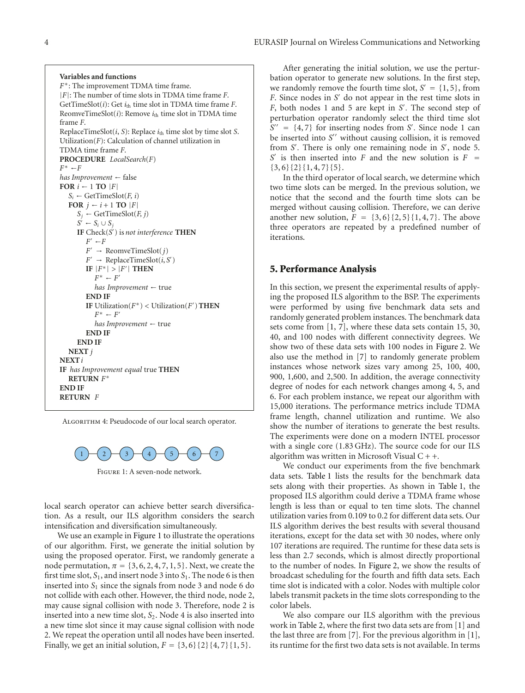#### **Variables and functions**

```
F∗: The improvement TDMA time frame.
|F|: The number of time slots in TDMA time frame F.
GetTimeSlot(i): Get ith time slot in TDMA time frame F.
ReomveTimeSlot(i): Remove i_{\text{th}} time slot in TDMA time
frame F.
ReplaceTimeSlot(i, S): Replace i<sub>th</sub> time slot by time slot S.
Utilization(F): Calculation of channel utilization in
TDMA time frame F.
PROCEDURE LocalSearch(F)
F^* ← F
has Improvement ← false
FOR i \leftarrow 1 TO |F|S_i ← GetTimeSlot(F, i)
  FOR j \leftarrow i+1 TO |F|S_i ← GetTimeSlot(F, j)
     S' ← S_i ∪ S_jIF Check(S
) is not interference THEN
        F' \leftarrow FF' \rightarrow ReomveTimeSlot(j)
        F' \rightarrow \text{ReplaceTimeSlot}(i, S')IF |F^*| > |F'| THEN
           F^* \leftarrow F'has Improvement ← true
        END IF
        IF Utilization(F^*) < Utilization(F') THEN
           F^* ← F'has Improvement ← true
        END IF
     END IF
  NEXT j
NEXTi
IF has Improvement equal true THEN
  RETURN F∗
END IF
RETURN F
```
ALGORITHM 4: Pseudocode of our local search operator.



Figure 1: A seven-node network.

local search operator can achieve better search diversification. As a result, our ILS algorithm considers the search intensification and diversification simultaneously.

We use an example in Figure 1 to illustrate the operations of our algorithm. First, we generate the initial solution by using the proposed operator. First, we randomly generate a node permutation,  $\pi = \{3, 6, 2, 4, 7, 1, 5\}$ . Next, we create the first time slot, *S*1, and insert node 3 into *S*1. The node 6 is then inserted into *S*<sup>1</sup> since the signals from node 3 and node 6 do not collide with each other. However, the third node, node 2, may cause signal collision with node 3. Therefore, node 2 is inserted into a new time slot, *S*2. Node 4 is also inserted into a new time slot since it may cause signal collision with node 2. We repeat the operation until all nodes have been inserted. Finally, we get an initial solution,  $F = \{3, 6\} \{2\} \{4, 7\} \{1, 5\}.$ 

After generating the initial solution, we use the perturbation operator to generate new solutions. In the first step, we randomly remove the fourth time slot,  $S' = \{1, 5\}$ , from *F*. Since nodes in *S'* do not appear in the rest time slots in *F*, both nodes 1 and 5 are kept in *S .* The second step of perturbation operator randomly select the third time slot  $S' = \{4, 7\}$  for inserting nodes from *S'*. Since node 1 can be inserted into S" without causing collision, it is removed from *S'*. There is only one remaining node in *S'*, node 5. *S*<sup> $\prime$ </sup> is then inserted into *F* and the new solution is  $F =$  ${3, 6}{2}{1, 4, 7}{5}.$ 

In the third operator of local search, we determine which two time slots can be merged. In the previous solution, we notice that the second and the fourth time slots can be merged without causing collision. Therefore, we can derive another new solution,  $F = \{3, 6\} \{2, 5\} \{1, 4, 7\}$ . The above three operators are repeated by a predefined number of iterations.

#### **5. Performance Analysis**

In this section, we present the experimental results of applying the proposed ILS algorithm to the BSP. The experiments were performed by using five benchmark data sets and randomly generated problem instances. The benchmark data sets come from [1, 7], where these data sets contain 15, 30, 40, and 100 nodes with different connectivity degrees. We show two of these data sets with 100 nodes in Figure 2. We also use the method in [7] to randomly generate problem instances whose network sizes vary among 25, 100, 400, 900, 1,600, and 2,500. In addition, the average connectivity degree of nodes for each network changes among 4, 5, and 6. For each problem instance, we repeat our algorithm with 15,000 iterations. The performance metrics include TDMA frame length, channel utilization and runtime. We also show the number of iterations to generate the best results. The experiments were done on a modern INTEL processor with a single core (1.83 GHz). The source code for our ILS algorithm was written in Microsoft Visual C + +*.*

We conduct our experiments from the five benchmark data sets. Table 1 lists the results for the benchmark data sets along with their properties. As shown in Table 1, the proposed ILS algorithm could derive a TDMA frame whose length is less than or equal to ten time slots. The channel utilization varies from 0.109 to 0.2 for different data sets. Our ILS algorithm derives the best results with several thousand iterations, except for the data set with 30 nodes, where only 107 iterations are required. The runtime for these data sets is less than 2.7 seconds, which is almost directly proportional to the number of nodes. In Figure 2, we show the results of broadcast scheduling for the fourth and fifth data sets. Each time slot is indicated with a color. Nodes with multiple color labels transmit packets in the time slots corresponding to the color labels.

We also compare our ILS algorithm with the previous work in Table 2, where the first two data sets are from [1] and the last three are from [7]. For the previous algorithm in [1], its runtime for the first two data sets is not available. In terms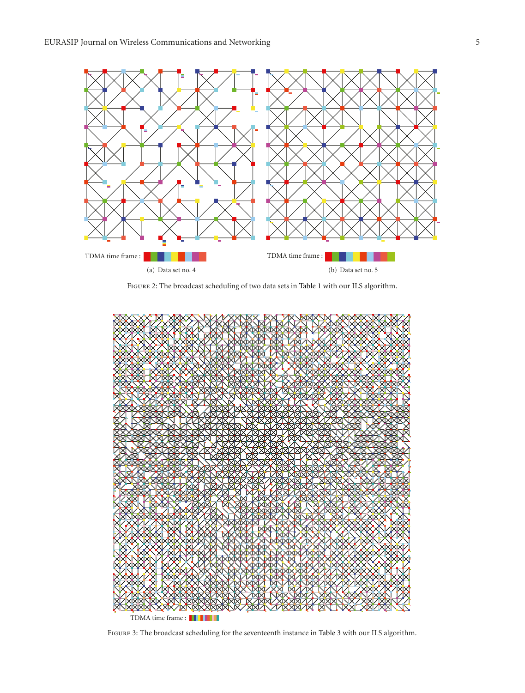

Figure 2: The broadcast scheduling of two data sets in Table 1 with our ILS algorithm.



Figure 3: The broadcast scheduling for the seventeenth instance in Table 3 with our ILS algorithm.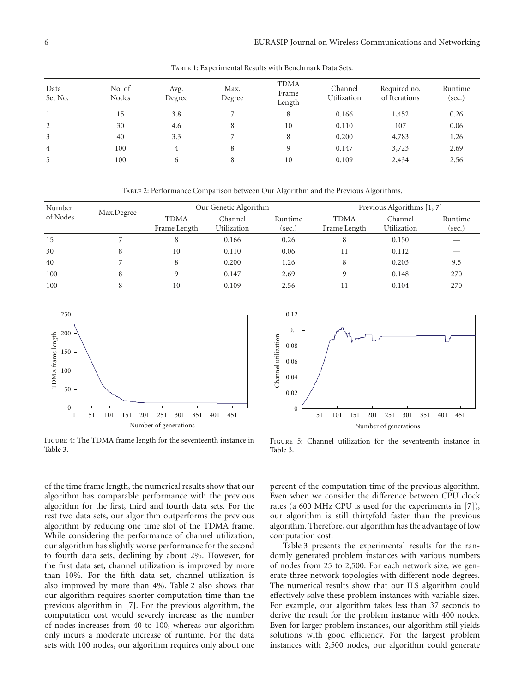| Data<br>Set No. | No. of<br>Nodes | Avg.<br>Degree | Max.<br>Degree | TDMA<br>Frame<br>Length | Channel<br>Utilization | Required no.<br>of Iterations | Runtime<br>(sec.) |
|-----------------|-----------------|----------------|----------------|-------------------------|------------------------|-------------------------------|-------------------|
|                 | 15              | 3.8            |                | 8                       | 0.166                  | 1,452                         | 0.26              |
| 2               | 30              | 4.6            | 8              | 10                      | 0.110                  | 107                           | 0.06              |
| 3               | 40              | 3.3            |                | 8                       | 0.200                  | 4,783                         | 1.26              |
| 4               | 100             | 4              | 8              | q                       | 0.147                  | 3,723                         | 2.69              |
| 5               | 100             | 6              | 8              | 10                      | 0.109                  | 2,434                         | 2.56              |

TABLE 1: Experimental Results with Benchmark Data Sets.

Table 2: Performance Comparison between Our Algorithm and the Previous Algorithms.

| Number<br>of Nodes | Max.Degree | Our Genetic Algorithm       |                        |                   | Previous Algorithms [1, 7]  |                        |                   |
|--------------------|------------|-----------------------------|------------------------|-------------------|-----------------------------|------------------------|-------------------|
|                    |            | <b>TDMA</b><br>Frame Length | Channel<br>Utilization | Runtime<br>(sec.) | <b>TDMA</b><br>Frame Length | Channel<br>Utilization | Runtime<br>(sec.) |
| 15                 |            | 8                           | 0.166                  | 0.26              | 8                           | 0.150                  |                   |
| 30                 | 8          | 10                          | 0.110                  | 0.06              |                             | 0.112                  |                   |
| 40                 |            | 8                           | 0.200                  | 1.26              | 8                           | 0.203                  | 9.5               |
| 100                | 8          | 9                           | 0.147                  | 2.69              | q                           | 0.148                  | 270               |
| 100                | 8          | 10                          | 0.109                  | 2.56              |                             | 0.104                  | 270               |



Figure 4: The TDMA frame length for the seventeenth instance in Table 3.



Figure 5: Channel utilization for the seventeenth instance in Table 3.

of the time frame length, the numerical results show that our algorithm has comparable performance with the previous algorithm for the first, third and fourth data sets. For the rest two data sets, our algorithm outperforms the previous algorithm by reducing one time slot of the TDMA frame. While considering the performance of channel utilization, our algorithm has slightly worse performance for the second to fourth data sets, declining by about 2%. However, for the first data set, channel utilization is improved by more than 10%. For the fifth data set, channel utilization is also improved by more than 4%. Table 2 also shows that our algorithm requires shorter computation time than the previous algorithm in [7]. For the previous algorithm, the computation cost would severely increase as the number of nodes increases from 40 to 100, whereas our algorithm only incurs a moderate increase of runtime. For the data sets with 100 nodes, our algorithm requires only about one

percent of the computation time of the previous algorithm. Even when we consider the difference between CPU clock rates (a 600 MHz CPU is used for the experiments in [7]), our algorithm is still thirtyfold faster than the previous algorithm. Therefore, our algorithm has the advantage of low computation cost.

Table 3 presents the experimental results for the randomly generated problem instances with various numbers of nodes from 25 to 2,500. For each network size, we generate three network topologies with different node degrees. The numerical results show that our ILS algorithm could effectively solve these problem instances with variable sizes. For example, our algorithm takes less than 37 seconds to derive the result for the problem instance with 400 nodes. Even for larger problem instances, our algorithm still yields solutions with good efficiency. For the largest problem instances with 2,500 nodes, our algorithm could generate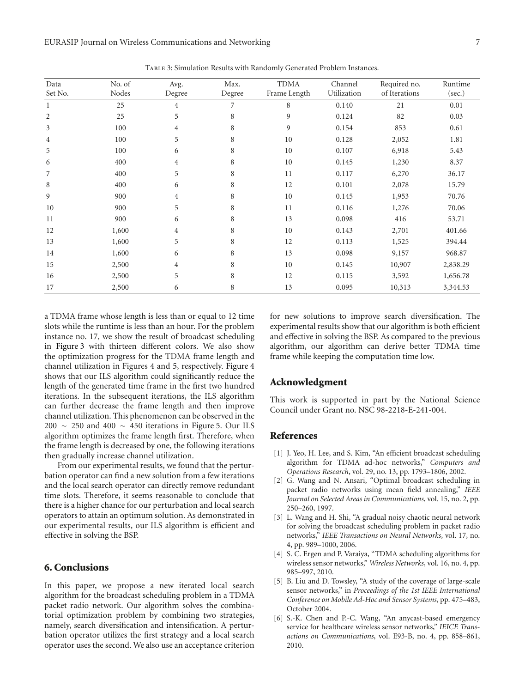| Data<br>Set No. | No. of<br>Nodes | Avg.<br>Degree | Max.<br>Degree | <b>TDMA</b><br>Frame Length | Channel<br>Utilization | Required no.<br>of Iterations | Runtime<br>(sec.) |
|-----------------|-----------------|----------------|----------------|-----------------------------|------------------------|-------------------------------|-------------------|
| 1               | 25              | $\overline{4}$ | 7              | 8                           | 0.140                  | 21                            | 0.01              |
| $\overline{2}$  | 25              | 5              | 8              | 9                           | 0.124                  | 82                            | 0.03              |
| 3               | 100             | $\overline{4}$ | 8              | 9                           | 0.154                  | 853                           | 0.61              |
| $\overline{4}$  | 100             | 5              | 8              | 10                          | 0.128                  | 2,052                         | 1.81              |
| 5               | 100             | 6              | 8              | 10                          | 0.107                  | 6,918                         | 5.43              |
| 6               | 400             | 4              | 8              | 10                          | 0.145                  | 1,230                         | 8.37              |
| 7               | 400             | 5              | 8              | 11                          | 0.117                  | 6,270                         | 36.17             |
| 8               | 400             | 6              | 8              | 12                          | 0.101                  | 2,078                         | 15.79             |
| 9               | 900             | 4              | 8              | 10                          | 0.145                  | 1,953                         | 70.76             |
| 10              | 900             | 5              | 8              | 11                          | 0.116                  | 1,276                         | 70.06             |
| 11              | 900             | 6              | 8              | 13                          | 0.098                  | 416                           | 53.71             |
| 12              | 1,600           | 4              | 8              | 10                          | 0.143                  | 2,701                         | 401.66            |
| 13              | 1,600           | 5              | 8              | 12                          | 0.113                  | 1,525                         | 394.44            |
| 14              | 1,600           | 6              | 8              | 13                          | 0.098                  | 9,157                         | 968.87            |
| 15              | 2,500           | 4              | 8              | 10                          | 0.145                  | 10,907                        | 2,838.29          |
| 16              | 2,500           | 5              | 8              | 12                          | 0.115                  | 3,592                         | 1,656.78          |
| 17              | 2,500           | 6              | 8              | 13                          | 0.095                  | 10,313                        | 3,344.53          |

TABLE 3: Simulation Results with Randomly Generated Problem Instances.

a TDMA frame whose length is less than or equal to 12 time slots while the runtime is less than an hour. For the problem instance no. 17, we show the result of broadcast scheduling in Figure 3 with thirteen different colors. We also show the optimization progress for the TDMA frame length and channel utilization in Figures 4 and 5, respectively. Figure 4 shows that our ILS algorithm could significantly reduce the length of the generated time frame in the first two hundred iterations. In the subsequent iterations, the ILS algorithm can further decrease the frame length and then improve channel utilization. This phenomenon can be observed in the 200 ∼ 250 and 400 ∼ 450 iterations in Figure 5. Our ILS algorithm optimizes the frame length first. Therefore, when the frame length is decreased by one, the following iterations then gradually increase channel utilization.

From our experimental results, we found that the perturbation operator can find a new solution from a few iterations and the local search operator can directly remove redundant time slots. Therefore, it seems reasonable to conclude that there is a higher chance for our perturbation and local search operators to attain an optimum solution. As demonstrated in our experimental results, our ILS algorithm is efficient and effective in solving the BSP.

#### **6. Conclusions**

In this paper, we propose a new iterated local search algorithm for the broadcast scheduling problem in a TDMA packet radio network. Our algorithm solves the combinatorial optimization problem by combining two strategies, namely, search diversification and intensification. A perturbation operator utilizes the first strategy and a local search operator uses the second. We also use an acceptance criterion

for new solutions to improve search diversification. The experimental results show that our algorithm is both efficient and effective in solving the BSP. As compared to the previous algorithm, our algorithm can derive better TDMA time frame while keeping the computation time low.

#### **Acknowledgment**

This work is supported in part by the National Science Council under Grant no. NSC 98-2218-E-241-004.

#### **References**

- [1] J. Yeo, H. Lee, and S. Kim, "An efficient broadcast scheduling algorithm for TDMA ad-hoc networks," *Computers and Operations Research*, vol. 29, no. 13, pp. 1793–1806, 2002.
- [2] G. Wang and N. Ansari, "Optimal broadcast scheduling in packet radio networks using mean field annealing," *IEEE Journal on Selected Areas in Communications*, vol. 15, no. 2, pp. 250–260, 1997.
- [3] L. Wang and H. Shi, "A gradual noisy chaotic neural network for solving the broadcast scheduling problem in packet radio networks," *IEEE Transactions on Neural Networks*, vol. 17, no. 4, pp. 989–1000, 2006.
- [4] S. C. Ergen and P. Varaiya, "TDMA scheduling algorithms for wireless sensor networks," *Wireless Networks*, vol. 16, no. 4, pp. 985–997, 2010.
- [5] B. Liu and D. Towsley, "A study of the coverage of large-scale sensor networks," in *Proceedings of the 1st IEEE International Conference on Mobile Ad-Hoc and Sensor Systems*, pp. 475–483, October 2004.
- [6] S.-K. Chen and P.-C. Wang, "An anycast-based emergency service for healthcare wireless sensor networks," *IEICE Transactions on Communications*, vol. E93-B, no. 4, pp. 858–861, 2010.